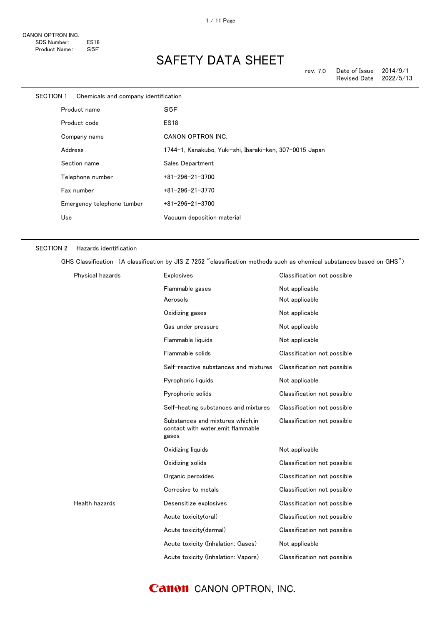| SECTION 1                    |         | Chemicals and company identification |                                                         |
|------------------------------|---------|--------------------------------------|---------------------------------------------------------|
| Product name<br>Product code |         |                                      | S <sub>5F</sub>                                         |
|                              |         |                                      | <b>ES18</b>                                             |
|                              |         | Company name                         | CANON OPTRON INC.                                       |
|                              | Address |                                      | 1744-1, Kanakubo, Yuki-shi, Ibaraki-ken, 307-0015 Japan |
|                              |         | Section name                         | Sales Department                                        |
|                              |         | Telephone number                     | $+81 - 296 - 21 - 3700$                                 |
|                              |         | Fax number                           | $+81 - 296 - 21 - 3770$                                 |
|                              |         | Emergency telephone tumber           | $+81 - 296 - 21 - 3700$                                 |
|                              | Use     |                                      | Vacuum deposition material                              |
|                              |         |                                      |                                                         |

#### SECTION 2 Hazards identification

GHS Classification (A classification by JIS Z 7252 "classification methods such as chemical substances based on GHS")

| Physical hazards | Explosives                                                                      | Classification not possible |
|------------------|---------------------------------------------------------------------------------|-----------------------------|
|                  | Flammable gases                                                                 | Not applicable              |
|                  | Aerosols                                                                        | Not applicable              |
|                  | Oxidizing gases                                                                 | Not applicable              |
|                  | Gas under pressure                                                              | Not applicable              |
|                  | Flammable liquids                                                               | Not applicable              |
|                  | Flammable solids                                                                | Classification not possible |
|                  | Self-reactive substances and mixtures                                           | Classification not possible |
|                  | Pyrophoric liquids                                                              | Not applicable              |
|                  | Pyrophoric solids                                                               | Classification not possible |
|                  | Self-heating substances and mixtures                                            | Classification not possible |
|                  | Substances and mixtures which.in<br>contact with water, emit flammable<br>gases | Classification not possible |
|                  | Oxidizing liquids                                                               | Not applicable              |
|                  | Oxidizing solids                                                                | Classification not possible |
|                  | Organic peroxides                                                               | Classification not possible |
|                  | Corrosive to metals                                                             | Classification not possible |
| Health hazards   | Desensitize explosives                                                          | Classification not possible |
|                  | Acute toxicity(oral)                                                            | Classification not possible |
|                  | Acute toxicity(dermal)                                                          | Classification not possible |
|                  | Acute toxicity (Inhalation: Gases)                                              | Not applicable              |
|                  | Acute toxicity (Inhalation: Vapors)                                             | Classification not possible |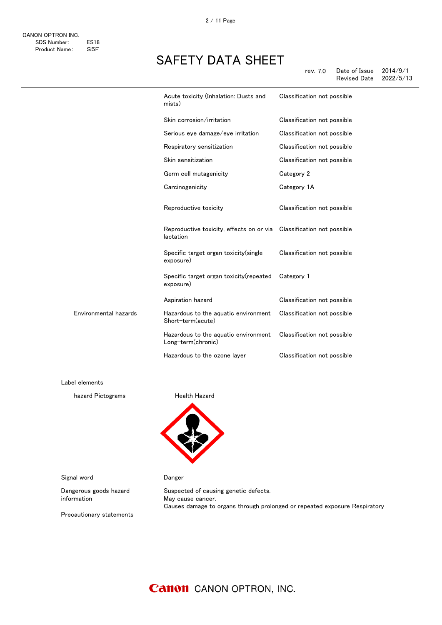|                       | Acute toxicity (Inhalation: Dusts and<br>mists)                                   | Classification not possible |
|-----------------------|-----------------------------------------------------------------------------------|-----------------------------|
|                       | Skin corrosion/irritation                                                         | Classification not possible |
|                       | Serious eye damage/eye irritation                                                 | Classification not possible |
|                       | Respiratory sensitization                                                         | Classification not possible |
|                       | Skin sensitization                                                                | Classification not possible |
|                       | Germ cell mutagenicity                                                            | Category 2                  |
|                       | Carcinogenicity                                                                   | Category 1A                 |
|                       | Reproductive toxicity                                                             | Classification not possible |
|                       | Reproductive toxicity, effects on or via Classification not possible<br>lactation |                             |
|                       | Specific target organ toxicity (single<br>exposure)                               | Classification not possible |
|                       | Specific target organ toxicity (repeated<br>exposure)                             | Category 1                  |
|                       | Aspiration hazard                                                                 | Classification not possible |
| Environmental hazards | Hazardous to the aquatic environment<br>Short-term(acute)                         | Classification not possible |
|                       | Hazardous to the aquatic environment<br>Long-term(chronic)                        | Classification not possible |
|                       | Hazardous to the ozone layer                                                      | Classification not possible |

Label elements

hazard Pictograms **Health Hazard** 



Signal word **Danger** 

Dangerous goods hazard information

Suspected of causing genetic defects. May cause cancer. Causes damage to organs through prolonged or repeated exposure Respiratory

Precautionary statements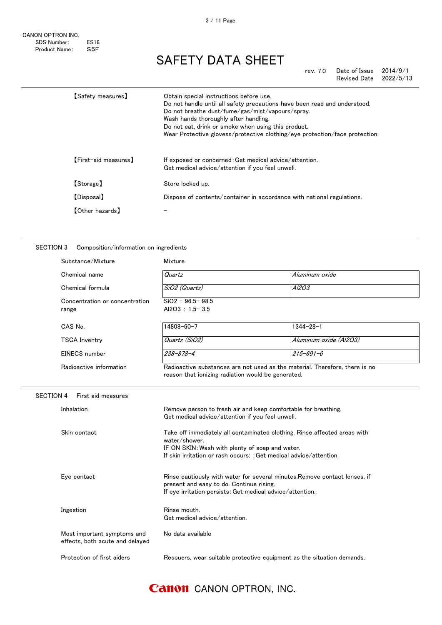rev. 7.0 Date of Issue 2014/9/1 Revised Date 2022/5/13

| 【Safety measures】      | Obtain special instructions before use.<br>Do not handle until all safety precautions have been read and understood.<br>Do not breathe dust/fume/gas/mist/vapours/spray.<br>Wash hands thoroughly after handling.<br>Do not eat, drink or smoke when using this product.<br>Wear Protective glovess/protective clothing/eye protection/face protection. |
|------------------------|---------------------------------------------------------------------------------------------------------------------------------------------------------------------------------------------------------------------------------------------------------------------------------------------------------------------------------------------------------|
| [First-aid measures]   | If exposed or concerned: Get medical advice/attention.<br>Get medical advice/attention if you feel unwell.                                                                                                                                                                                                                                              |
| [Storage]              | Store locked up.                                                                                                                                                                                                                                                                                                                                        |
| [Disposal]             | Dispose of contents/container in accordance with national regulations.                                                                                                                                                                                                                                                                                  |
| <b>[Other hazards]</b> |                                                                                                                                                                                                                                                                                                                                                         |
|                        |                                                                                                                                                                                                                                                                                                                                                         |

#### SECTION 3 Composition/information on ingredients

|                  | Substance/Mixture                                              | Mixture                                                                                                                                                                                                             |                        |  |
|------------------|----------------------------------------------------------------|---------------------------------------------------------------------------------------------------------------------------------------------------------------------------------------------------------------------|------------------------|--|
|                  | Chemical name                                                  | Quartz                                                                                                                                                                                                              | Aluminum oxide         |  |
|                  | Chemical formula                                               | SiO2 (Quartz)                                                                                                                                                                                                       | A/203                  |  |
|                  | Concentration or concentration<br>range                        | $SiO2 : 96.5 - 98.5$<br>Al2O3 : $1.5 - 3.5$                                                                                                                                                                         |                        |  |
|                  | CAS No.                                                        | 14808-60-7                                                                                                                                                                                                          | $1344 - 28 - 1$        |  |
|                  | <b>TSCA Inventry</b>                                           | Quartz (SiO2)                                                                                                                                                                                                       | Aluminum oxide (Al2O3) |  |
|                  | <b>EINECS</b> number                                           | $238 - 878 - 4$                                                                                                                                                                                                     | $215 - 691 - 6$        |  |
|                  | Radioactive information                                        | Radioactive substances are not used as the material. Therefore, there is no<br>reason that ionizing radiation would be generated.                                                                                   |                        |  |
| <b>SECTION 4</b> | First aid measures                                             |                                                                                                                                                                                                                     |                        |  |
|                  | Inhalation                                                     | Remove person to fresh air and keep comfortable for breathing.<br>Get medical advice/attention if you feel unwell.                                                                                                  |                        |  |
|                  | Skin contact                                                   | Take off immediately all contaminated clothing. Rinse affected areas with<br>water/shower.<br>IF ON SKIN: Wash with plenty of soap and water.<br>If skin irritation or rash occurs: : Get medical advice/attention. |                        |  |
|                  | Eye contact                                                    | Rinse cautiously with water for several minutes. Remove contact lenses, if<br>present and easy to do. Continue rising.<br>If eye irritation persists: Get medical advice/attention.                                 |                        |  |
|                  | Ingestion                                                      | Rinse mouth.<br>Get medical advice/attention.                                                                                                                                                                       |                        |  |
|                  | Most important symptoms and<br>effects, both acute and delayed | No data available                                                                                                                                                                                                   |                        |  |
|                  | Protection of first aiders                                     | Rescuers, wear suitable protective equipment as the situation demands.                                                                                                                                              |                        |  |
|                  |                                                                |                                                                                                                                                                                                                     |                        |  |

#### 3 / 11 Page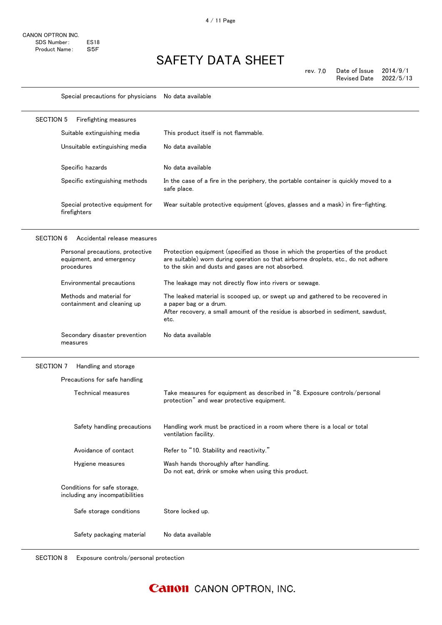Special precautions for physicians No data available

| <b>SECTION 5</b>                                                             | Firefighting measures            |                                                                                                                                                                                                                            |  |  |
|------------------------------------------------------------------------------|----------------------------------|----------------------------------------------------------------------------------------------------------------------------------------------------------------------------------------------------------------------------|--|--|
| Suitable extinguishing media                                                 |                                  | This product itself is not flammable.                                                                                                                                                                                      |  |  |
|                                                                              | Unsuitable extinguishing media   | No data available                                                                                                                                                                                                          |  |  |
| Specific hazards                                                             |                                  | No data available                                                                                                                                                                                                          |  |  |
|                                                                              | Specific extinguishing methods   | In the case of a fire in the periphery, the portable container is quickly moved to a<br>safe place.                                                                                                                        |  |  |
| firefighters                                                                 | Special protective equipment for | Wear suitable protective equipment (gloves, glasses and a mask) in fire-fighting.                                                                                                                                          |  |  |
| <b>SECTION 6</b>                                                             | Accidental release measures      |                                                                                                                                                                                                                            |  |  |
| equipment, and emergency<br>procedures                                       | Personal precautions, protective | Protection equipment (specified as those in which the properties of the product<br>are suitable) worn during operation so that airborne droplets, etc., do not adhere<br>to the skin and dusts and gases are not absorbed. |  |  |
| Environmental precautions                                                    |                                  | The leakage may not directly flow into rivers or sewage.                                                                                                                                                                   |  |  |
| Methods and material for<br>containment and cleaning up                      |                                  | The leaked material is scooped up, or swept up and gathered to be recovered in<br>a paper bag or a drum.<br>After recovery, a small amount of the residue is absorbed in sediment, sawdust,<br>etc.                        |  |  |
| measures                                                                     | Secondary disaster prevention    | No data available                                                                                                                                                                                                          |  |  |
|                                                                              |                                  |                                                                                                                                                                                                                            |  |  |
|                                                                              | Handling and storage             |                                                                                                                                                                                                                            |  |  |
| Precautions for safe handling                                                |                                  |                                                                                                                                                                                                                            |  |  |
| Technical measures                                                           |                                  | Take measures for equipment as described in "8. Exposure controls/personal<br>protection" and wear protective equipment.                                                                                                   |  |  |
|                                                                              | Safety handling precautions      | Handling work must be practiced in a room where there is a local or total<br>ventilation facility.                                                                                                                         |  |  |
|                                                                              | Avoidance of contact             | Refer to "10. Stability and reactivity."                                                                                                                                                                                   |  |  |
| Hygiene measures                                                             |                                  | Wash hands thoroughly after handling.<br>Do not eat, drink or smoke when using this product.                                                                                                                               |  |  |
| SECTION 7<br>Conditions for safe storage.<br>including any incompatibilities |                                  |                                                                                                                                                                                                                            |  |  |

Safety packaging material No data available

SECTION 8 Exposure controls/personal protection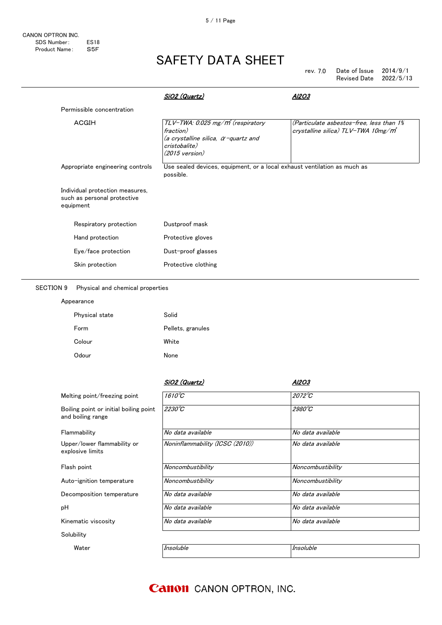| rev. $7.0$ | Date of Issue       | 2014/9/1  |
|------------|---------------------|-----------|
|            | <b>Revised Date</b> | 2022/5/13 |

|                                                                             | <u>SiO2 (Quartz)</u>                                                                                                                                   | Al2O3                                                                                       |
|-----------------------------------------------------------------------------|--------------------------------------------------------------------------------------------------------------------------------------------------------|---------------------------------------------------------------------------------------------|
| Permissible concentration                                                   |                                                                                                                                                        |                                                                                             |
| ACGIH                                                                       | TLV-TWA: 0.025 mg/m <sup>3</sup> (respiratory<br>fraction)<br>(a crystalline silica, $\alpha$ -quartz and<br>cristobalite)<br>$(2015 \text{ version})$ | (Particulate asbestos-free, less than 1%<br>crystalline silica) TLV-TWA 10mg/m <sup>*</sup> |
| Appropriate engineering controls                                            | Use sealed devices, equipment, or a local exhaust ventilation as much as<br>possible.                                                                  |                                                                                             |
| Individual protection measures,<br>such as personal protective<br>equipment |                                                                                                                                                        |                                                                                             |
| Respiratory protection                                                      | Dustproof mask                                                                                                                                         |                                                                                             |
| Hand protection                                                             | Protective gloves                                                                                                                                      |                                                                                             |
| Eye/face protection                                                         | Dust-proof glasses                                                                                                                                     |                                                                                             |
| Skin protection                                                             | Protective clothing                                                                                                                                    |                                                                                             |

#### SECTION 9 Physical and chemical properties

| Appearance     |                   |
|----------------|-------------------|
| Physical state | Solid             |
| Form           | Pellets, granules |
| Colour         | White             |
| Odour          | <b>None</b>       |

|                                                             | <u>SiO2 (Quartz)</u>            | Al2O3             |
|-------------------------------------------------------------|---------------------------------|-------------------|
| Melting point/freezing point                                | $1610^{\circ}C$                 | 2072°C            |
| Boiling point or initial boiling point<br>and boiling range | 2230°C                          | 2980°C            |
| Flammability                                                | No data available               | No data available |
| Upper/lower flammability or<br>explosive limits             | Noninflammability (ICSC (2010)) | No data available |
| Flash point                                                 | Noncombustibility               | Noncombustibility |
| Auto-ignition temperature                                   | Noncombustibility               | Noncombustibility |
| Decomposition temperature                                   | No data available               | No data available |
| рH                                                          | No data available               | No data available |
| Kinematic viscosity                                         | No data available               | No data available |
| Solubility                                                  |                                 |                   |
| Water                                                       | Insoluble                       | Insoluble         |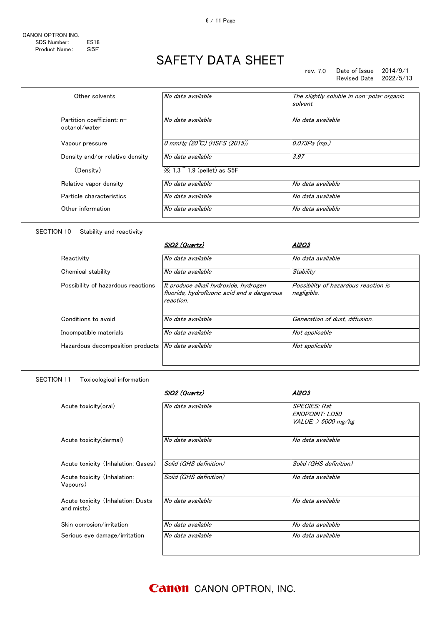rev. 7.0 Date of Issue  $2014/9/1$ Revised Date 2022/5/13

| Other solvents                             | No data available                           | The slightly soluble in non-polar organic<br>solvent |
|--------------------------------------------|---------------------------------------------|------------------------------------------------------|
| Partition coefficient: n-<br>octanol/water | No data available                           | No data available                                    |
| Vapour pressure                            | 0 mmHg $(20^{\circ}\text{C})$ (HSFS (2015)) | 0.073Pa (mp.)                                        |
| Density and/or relative density            | No data available                           | 3.97                                                 |
| (Density)                                  | $\%$ 1.3 $\degree$ 1.9 (pellet) as S5F      |                                                      |
| Relative vapor density                     | No data available                           | No data available                                    |
| Particle characteristics                   | No data available                           | No data available                                    |
| Other information                          | No data available                           | No data available                                    |

#### SECTION 10 Stability and reactivity

|                                    | SiO2 (Quartz)                                                                                     | Al2O3                                               |
|------------------------------------|---------------------------------------------------------------------------------------------------|-----------------------------------------------------|
| Reactivity                         | No data available                                                                                 | No data available                                   |
| Chemical stability                 | No data available                                                                                 | Stability                                           |
| Possibility of hazardous reactions | It produce alkali hydroxide, hydrogen<br>fluoride, hydrofluoric acid and a dangerous<br>reaction. | Possibility of hazardous reaction is<br>negligible. |
| Conditions to avoid                | No data available                                                                                 | Generation of dust, diffusion.                      |
| Incompatible materials             | No data available                                                                                 | Not applicable                                      |
| Hazardous decomposition products   | No data available                                                                                 | Not applicable                                      |

#### SECTION 11 Toxicological information

|                                                 | SiO2 (Quartz)          | AI2O3                                                            |
|-------------------------------------------------|------------------------|------------------------------------------------------------------|
| Acute toxicity(oral)                            | No data available      | <b>SPECIES: Rat</b><br>ENDPOINT: LD50<br>$VALUE:$ $>$ 5000 mg/kg |
| Acute toxicity (dermal)                         | No data available      | No data available                                                |
| Acute toxicity (Inhalation: Gases)              | Solid (GHS definition) | Solid (GHS definition)                                           |
| Acute toxicity (Inhalation:<br>Vapours)         | Solid (GHS definition) | No data available                                                |
| Acute toxicity (Inhalation: Dusts<br>and mists) | No data available      | No data available                                                |
| Skin corrosion/irritation                       | No data available      | No data available                                                |
| Serious eye damage/irritation                   | No data available      | No data available                                                |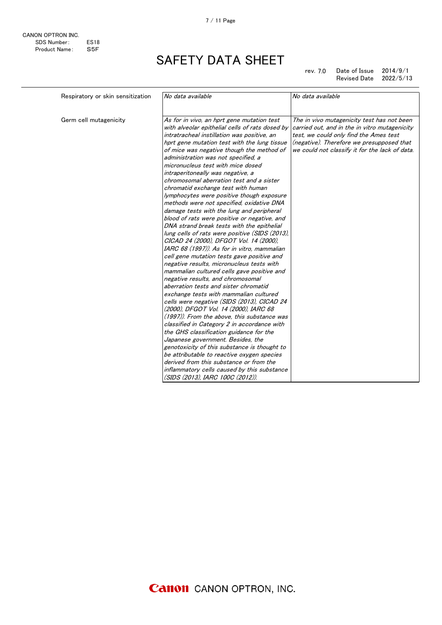7 / 11 Page

| Respiratory or skin sensitization | No data available                                                                                                                                                                                                                                                                                                                                                                                                                                                                                                                                                                                                                                                                                                                                                                                                                                                                                                                                                                                                                                                                             | No data available                                                                                                                                                                                                                    |
|-----------------------------------|-----------------------------------------------------------------------------------------------------------------------------------------------------------------------------------------------------------------------------------------------------------------------------------------------------------------------------------------------------------------------------------------------------------------------------------------------------------------------------------------------------------------------------------------------------------------------------------------------------------------------------------------------------------------------------------------------------------------------------------------------------------------------------------------------------------------------------------------------------------------------------------------------------------------------------------------------------------------------------------------------------------------------------------------------------------------------------------------------|--------------------------------------------------------------------------------------------------------------------------------------------------------------------------------------------------------------------------------------|
| Germ cell mutagenicity            | As for in vivo, an hprt gene mutation test<br>with alveolar epithelial cells of rats dosed by<br>intratracheal instillation was positive, an<br>hprt gene mutation test with the lung tissue<br>of mice was negative though the method of<br>administration was not specified, a<br>micronucleus test with mice dosed<br>intraperitoneally was negative, a<br>chromosomal aberration test and a sister<br>chromatid exchange test with human<br>lymphocytes were positive though exposure<br>methods were not specified, oxidative DNA<br>damage tests with the lung and peripheral<br>blood of rats were positive or negative, and<br>DNA strand break tests with the epithelial<br>lung cells of rats were positive (SIDS (2013).<br>CICAD 24 (2000), DFGOT Vol. 14 (2000),<br>IARC 68 (1997)). As for in vitro, mammalian<br>cell gene mutation tests gave positive and<br>negative results, micronucleus tests with<br>mammalian cultured cells gave positive and<br>negative results, and chromosomal<br>aberration tests and sister chromatid<br>exchange tests with mammalian cultured | The in vivo mutagenicity test has not been<br>carried out, and in the in vitro mutagenicity<br>test, we could only find the Ames test<br>(negative). Therefore we presupposed that<br>we could not classify it for the lack of data. |
|                                   | cells were negative (SIDS (2013), CICAD 24<br>(2000), DFGOT Vol. 14 (2000), IARC 68<br>(1997)). From the above, this substance was                                                                                                                                                                                                                                                                                                                                                                                                                                                                                                                                                                                                                                                                                                                                                                                                                                                                                                                                                            |                                                                                                                                                                                                                                      |
|                                   | classified in Category 2 in accordance with<br>the GHS classification guidance for the                                                                                                                                                                                                                                                                                                                                                                                                                                                                                                                                                                                                                                                                                                                                                                                                                                                                                                                                                                                                        |                                                                                                                                                                                                                                      |
|                                   | Japanese government. Besides, the<br>genotoxicity of this substance is thought to                                                                                                                                                                                                                                                                                                                                                                                                                                                                                                                                                                                                                                                                                                                                                                                                                                                                                                                                                                                                             |                                                                                                                                                                                                                                      |
|                                   | be attributable to reactive oxygen species<br>derived from this substance or from the                                                                                                                                                                                                                                                                                                                                                                                                                                                                                                                                                                                                                                                                                                                                                                                                                                                                                                                                                                                                         |                                                                                                                                                                                                                                      |
|                                   | inflammatory cells caused by this substance<br>(SIDS (2013), IARC 100C (2012)).                                                                                                                                                                                                                                                                                                                                                                                                                                                                                                                                                                                                                                                                                                                                                                                                                                                                                                                                                                                                               |                                                                                                                                                                                                                                      |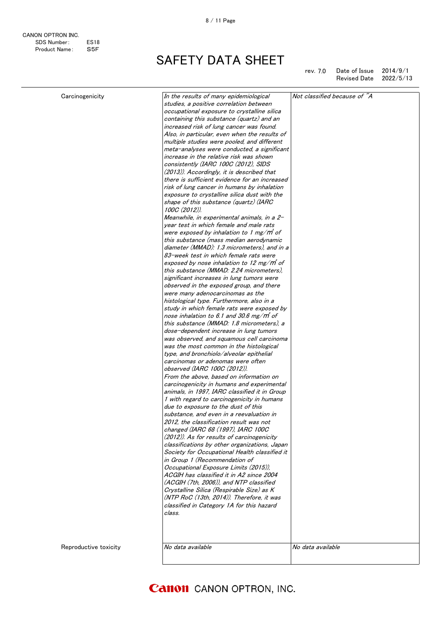| rev. 7.0 | Date of Issue       | 2014/9/1  |
|----------|---------------------|-----------|
|          | <b>Revised Date</b> | 2022/5/13 |

| Carcinogenicity       | In the results of many epidemiological<br>studies, a positive correlation between<br>occupational exposure to crystalline silica<br>containing this substance (quartz) and an<br>increased risk of lung cancer was found.<br>Also, in particular, even when the results of<br>multiple studies were pooled, and different<br>meta-analyses were conducted, a significant<br>increase in the relative risk was shown<br>consistently (IARC 100C (2012), SIDS<br>(2013)). Accordingly, it is described that<br>there is sufficient evidence for an increased<br>risk of lung cancer in humans by inhalation<br>exposure to crystalline silica dust with the<br>shape of this substance (quartz) (IARC<br>100C (2012)).<br>Meanwhile, in experimental animals, in a 2-<br>year test in which female and male rats<br>were exposed by inhalation to 1 mg/m of<br>this substance (mass median aerodynamic<br>diameter (MMAD): 1.3 micrometers), and in a<br>83-week test in which female rats were<br>exposed by nose inhalation to 12 mg/m of<br>this substance (MMAD: 2.24 micrometers).<br>significant increases in lung tumors were<br>observed in the exposed group, and there<br>were many adenocarcinomas as the<br>histological type. Furthermore, also in a<br>study in which female rats were exposed by<br>nose inhalation to 6.1 and 30.6 mg/m of | Not classified because of "A |
|-----------------------|----------------------------------------------------------------------------------------------------------------------------------------------------------------------------------------------------------------------------------------------------------------------------------------------------------------------------------------------------------------------------------------------------------------------------------------------------------------------------------------------------------------------------------------------------------------------------------------------------------------------------------------------------------------------------------------------------------------------------------------------------------------------------------------------------------------------------------------------------------------------------------------------------------------------------------------------------------------------------------------------------------------------------------------------------------------------------------------------------------------------------------------------------------------------------------------------------------------------------------------------------------------------------------------------------------------------------------------------------------|------------------------------|
| Reproductive toxicity | this substance (MMAD: 1.8 micrometers), a<br>dose-dependent increase in lung tumors<br>was observed, and squamous cell carcinoma<br>was the most common in the histological<br>type, and bronchiolo/alveolar epithelial<br>carcinomas or adenomas were often<br><i>observed (IARC 100C (2012)).</i><br>From the above, based on information on<br>carcinogenicity in humans and experimental<br>animals, in 1997, IARC classified it in Group<br>1 with regard to carcinogenicity in humans<br>due to exposure to the dust of this<br>substance, and even in a reevaluation in<br>2012, the classification result was not<br>changed (IARC 68 (1997), IARC 100C<br>(2012)). As for results of carcinogenicity<br>classifications by other organizations, Japan<br>Society for Occupational Health classified it<br>in Group 1 (Recommendation of<br>Occupational Exposure Limits (2015)),<br>ACGIH has classified it in A2 since 2004<br>(ACGIH (7th, 2006)), and NTP classified<br>Crystalline Silica (Respirable Size) as K<br>(NTP RoC (13th, 2014)). Therefore, it was<br>classified in Category 1A for this hazard<br>class.<br>No data available                                                                                                                                                                                                   | No data available            |
|                       |                                                                                                                                                                                                                                                                                                                                                                                                                                                                                                                                                                                                                                                                                                                                                                                                                                                                                                                                                                                                                                                                                                                                                                                                                                                                                                                                                          |                              |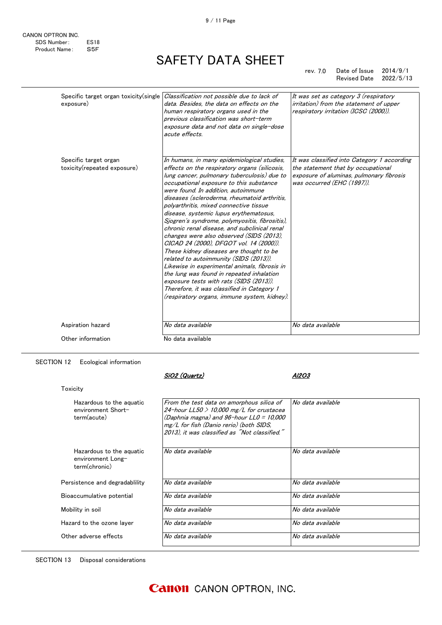rev. 7.0 Date of Issue 2014/9/1 Revised Date 2022/5/13

| Specific target organ toxicity (single<br>exposure)  | Classification not possible due to lack of<br>data. Besides, the data on effects on the<br>human respiratory organs used in the<br>previous classification was short-term<br>exposure data and not data on single-dose<br>acute effects.                                                                                                                                                                                                                                                                                                                                                                                                                                                                                                                                                                                                                                               | It was set as category 3 (respiratory<br><i>irritation)</i> from the statement of upper<br>respiratory irritation (ICSC (2000)).                            |
|------------------------------------------------------|----------------------------------------------------------------------------------------------------------------------------------------------------------------------------------------------------------------------------------------------------------------------------------------------------------------------------------------------------------------------------------------------------------------------------------------------------------------------------------------------------------------------------------------------------------------------------------------------------------------------------------------------------------------------------------------------------------------------------------------------------------------------------------------------------------------------------------------------------------------------------------------|-------------------------------------------------------------------------------------------------------------------------------------------------------------|
| Specific target organ<br>toxicity(repeated exposure) | In humans, in many epidemiological studies,<br>effects on the respiratory organs (silicosis,<br>lung cancer, pulmonary tuberculosis) due to<br>occupational exposure to this substance<br>were found. In addition, autoimmune<br>diseases (scleroderma, rheumatoid arthritis,<br>polyarthritis, mixed connective tissue<br>disease, systemic lupus erythematosus,<br>Sjogren's syndrome, polymyositis, fibrositis),<br>chronic renal disease, and subclinical renal<br>changes were also observed (SIDS (2013),<br>CICAD 24 (2000), DFGOT vol. 14 (2000)).<br>These kidney diseases are thought to be<br>related to autoimmunity (SIDS (2013)).<br>Likewise in experimental animals, fibrosis in<br>the lung was found in repeated inhalation<br>exposure tests with rats (SIDS (2013)).<br>Therefore, it was classified in Category 1<br>(respiratory organs, immune system, kidney). | It was classified into Category 1 according<br>the statement that by occupational<br>exposure of aluminas, pulmonary fibrosis<br>was occurred (EHC (1997)). |
| Aspiration hazard                                    | No data available                                                                                                                                                                                                                                                                                                                                                                                                                                                                                                                                                                                                                                                                                                                                                                                                                                                                      | No data available                                                                                                                                           |
| Other information                                    | No data available                                                                                                                                                                                                                                                                                                                                                                                                                                                                                                                                                                                                                                                                                                                                                                                                                                                                      |                                                                                                                                                             |

#### SECTION 12 Ecological information

SiO2 (Quartz) Al2O3

| Toxicity                                                       |                                                                                                                                                                                                                                    |                   |
|----------------------------------------------------------------|------------------------------------------------------------------------------------------------------------------------------------------------------------------------------------------------------------------------------------|-------------------|
| Hazardous to the aguatic<br>environment Short-<br>term(acute)  | From the test data on amorphous silica of<br>24-hour LL50 $>$ 10,000 mg/L for crustacea<br>(Daphnia magna) and $96$ -hour LL0 = 10,000<br>mg/L for fish (Danio rerio) (both SIDS,<br>2013), it was classified as "Not classified." | No data available |
| Hazardous to the aguatic<br>environment Long-<br>term(chronic) | No data available                                                                                                                                                                                                                  | No data available |
| Persistence and degradability                                  | No data available                                                                                                                                                                                                                  | No data available |
| Bioaccumulative potential                                      | No data available                                                                                                                                                                                                                  | No data available |
| Mobility in soil                                               | No data available                                                                                                                                                                                                                  | No data available |
| Hazard to the ozone layer                                      | No data available                                                                                                                                                                                                                  | No data available |
| Other adverse effects                                          | No data available                                                                                                                                                                                                                  | No data available |

SECTION 13 Disposal considerations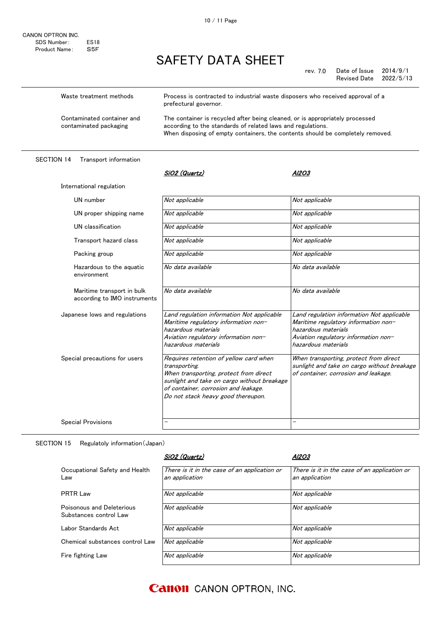rev. 7.0 Date of Issue  $2014/9/1$ Revised Date 2022/5/13

| Waste treatment methods                              | Process is contracted to industrial waste disposers who received approval of a<br>prefectural governor.                                                                                                                       |
|------------------------------------------------------|-------------------------------------------------------------------------------------------------------------------------------------------------------------------------------------------------------------------------------|
| Contaminated container and<br>contaminated packaging | The container is recycled after being cleaned, or is appropriately processed<br>according to the standards of related laws and regulations.<br>When disposing of empty containers, the contents should be completely removed. |

#### SECTION 14 Transport information

| International regulation                                   |                                                                                                                                                                                                                                |                                                                                                                                                                          |
|------------------------------------------------------------|--------------------------------------------------------------------------------------------------------------------------------------------------------------------------------------------------------------------------------|--------------------------------------------------------------------------------------------------------------------------------------------------------------------------|
| UN number                                                  | Not applicable                                                                                                                                                                                                                 | Not applicable                                                                                                                                                           |
| UN proper shipping name                                    | Not applicable                                                                                                                                                                                                                 | Not applicable                                                                                                                                                           |
| UN classification                                          | Not applicable                                                                                                                                                                                                                 | Not applicable                                                                                                                                                           |
| Transport hazard class                                     | Not applicable                                                                                                                                                                                                                 | Not applicable                                                                                                                                                           |
| Packing group                                              | Not applicable                                                                                                                                                                                                                 | Not applicable                                                                                                                                                           |
| Hazardous to the aguatic<br>environment                    | No data available                                                                                                                                                                                                              | No data available                                                                                                                                                        |
| Maritime transport in bulk<br>according to IMO instruments | No data available                                                                                                                                                                                                              | No data available                                                                                                                                                        |
| Japanese lows and regulations                              | Land regulation information Not applicable<br>Maritime regulatory information non-<br>hazardous materials<br>Aviation regulatory information non-<br>hazardous materials                                                       | Land regulation information Not applicable<br>Maritime regulatory information non-<br>hazardous materials<br>Aviation regulatory information non-<br>hazardous materials |
| Special precautions for users                              | Requires retention of yellow card when<br>transporting.<br>When transporting, protect from direct<br>sunlight and take on cargo without breakage<br>of container, corrosion and leakage.<br>Do not stack heavy good thereupon. | When transporting, protect from direct<br>sunlight and take on cargo without breakage<br>of container, corrosion and leakage.                                            |
| <b>Special Provisions</b>                                  |                                                                                                                                                                                                                                | -                                                                                                                                                                        |
|                                                            |                                                                                                                                                                                                                                |                                                                                                                                                                          |

SiO2 (Quartz) Al2O3

#### SECTION 15 Regulatoly information(Japan)

|                                                     | SiO2 (Quartz)                                                  | Al2O3                                                          |
|-----------------------------------------------------|----------------------------------------------------------------|----------------------------------------------------------------|
| Occupational Safety and Health<br>Law               | There is it in the case of an application or<br>an application | There is it in the case of an application or<br>an application |
| <b>PRTR Law</b>                                     | Not applicable                                                 | Not applicable                                                 |
| Poisonous and Deleterious<br>Substances control Law | Not applicable                                                 | Not applicable                                                 |
| Labor Standards Act                                 | Not applicable                                                 | Not applicable                                                 |
| Chemical substances control Law                     | Not applicable                                                 | Not applicable                                                 |
| Fire fighting Law                                   | Not applicable                                                 | Not applicable                                                 |